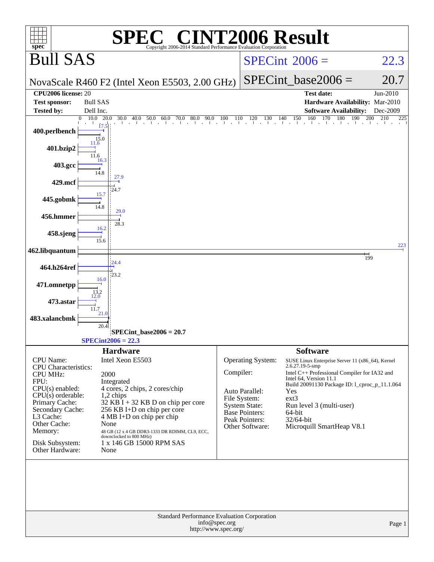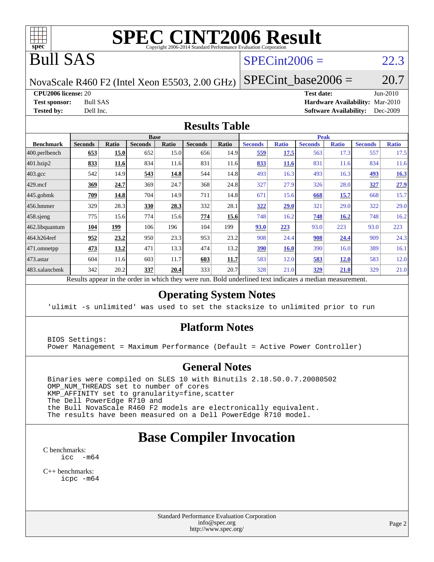

# **[SPEC CINT2006 Result](http://www.spec.org/auto/cpu2006/Docs/result-fields.html#SPECCINT2006Result)**

# Bull SAS

### $SPECint2006 = 22.3$  $SPECint2006 = 22.3$

NovaScale R460 F2 (Intel Xeon E5503, 2.00 GHz)

SPECint base2006 =  $20.7$ 

**[CPU2006 license:](http://www.spec.org/auto/cpu2006/Docs/result-fields.html#CPU2006license)** 20 **[Test date:](http://www.spec.org/auto/cpu2006/Docs/result-fields.html#Testdate)** Jun-2010

**[Test sponsor:](http://www.spec.org/auto/cpu2006/Docs/result-fields.html#Testsponsor)** Bull SAS **[Hardware Availability:](http://www.spec.org/auto/cpu2006/Docs/result-fields.html#HardwareAvailability)** Mar-2010 **[Tested by:](http://www.spec.org/auto/cpu2006/Docs/result-fields.html#Testedby)** Dell Inc. **[Software Availability:](http://www.spec.org/auto/cpu2006/Docs/result-fields.html#SoftwareAvailability)** Dec-2009

### **[Results Table](http://www.spec.org/auto/cpu2006/Docs/result-fields.html#ResultsTable)**

|                    |                |             | <b>Base</b>    |              |                |              |                |              | <b>Peak</b>    |              |                |              |
|--------------------|----------------|-------------|----------------|--------------|----------------|--------------|----------------|--------------|----------------|--------------|----------------|--------------|
| <b>Benchmark</b>   | <b>Seconds</b> | Ratio       | <b>Seconds</b> | <b>Ratio</b> | <b>Seconds</b> | <b>Ratio</b> | <b>Seconds</b> | <b>Ratio</b> | <b>Seconds</b> | <b>Ratio</b> | <b>Seconds</b> | <b>Ratio</b> |
| 400.perlbench      | 653            | 15.0        | 652            | 15.0         | 656            | 14.9         | 559            | 17.5         | 563            | 17.3         | 557            | 17.5         |
| 401.bzip2          | 833            | <u>11.6</u> | 834            | 11.6         | 831            | 11.6         | 833            | <b>11.6</b>  | 831            | 11.6         | 834            | 11.6         |
| $403.\mathrm{gcc}$ | 542            | 14.9        | 543            | 14.8         | 544            | 14.8         | 493            | 16.3         | 493            | 16.3         | 493            | 16.3         |
| $429$ .mcf         | 369            | 24.7        | 369            | 24.7         | 368            | 24.8         | 327            | 27.9         | 326            | 28.0         | 327            | 27.9         |
| $445$ .gobmk       | 709            | 14.8        | 704            | 14.9         | 711            | 14.8         | 671            | 15.6         | 668            | 15.7         | 668            | 15.7         |
| $456.$ hmmer       | 329            | 28.3        | 330            | 28.3         | 332            | 28.1         | 322            | 29.0         | 321            | 29.0         | 322            | 29.0         |
| $458$ .sjeng       | 775            | 15.6        | 774            | 15.6         | 774            | 15.6         | 748            | 16.2         | 748            | 16.2         | 748            | 16.2         |
| 462.libquantum     | 104            | 199         | 106            | 196          | 104            | 199          | 93.0           | 223          | 93.0           | 223          | 93.0           | 223          |
| 464.h264ref        | 952            | 23.2        | 950            | 23.3         | 953            | 23.2         | 908            | 24.4         | 908            | 24.4         | 909            | 24.3         |
| 471.omnetpp        | 473            | <u>13.2</u> | 471            | 13.3         | 474            | 13.2         | <u>390</u>     | <b>16.0</b>  | 390            | 16.0         | 389            | 16.1         |
| $ 473$ . astar     | 604            | 11.6        | 603            | 11.7         | 603            | 11.7         | 583            | 12.0         | 583            | <u>12.0</u>  | 583            | 12.0         |
| 483.xalancbmk      | 342            | 20.2        | 337            | 20.4         | 333            | 20.7         | 328            | 21.0         | 329            | 21.0         | 329            | 21.0         |

Results appear in the [order in which they were run.](http://www.spec.org/auto/cpu2006/Docs/result-fields.html#RunOrder) Bold underlined text [indicates a median measurement.](http://www.spec.org/auto/cpu2006/Docs/result-fields.html#Median)

### **[Operating System Notes](http://www.spec.org/auto/cpu2006/Docs/result-fields.html#OperatingSystemNotes)**

'ulimit -s unlimited' was used to set the stacksize to unlimited prior to run

### **[Platform Notes](http://www.spec.org/auto/cpu2006/Docs/result-fields.html#PlatformNotes)**

 BIOS Settings: Power Management = Maximum Performance (Default = Active Power Controller)

### **[General Notes](http://www.spec.org/auto/cpu2006/Docs/result-fields.html#GeneralNotes)**

 Binaries were compiled on SLES 10 with Binutils 2.18.50.0.7.20080502 OMP\_NUM\_THREADS set to number of cores KMP\_AFFINITY set to granularity=fine,scatter The Dell PowerEdge R710 and the Bull NovaScale R460 F2 models are electronically equivalent. The results have been measured on a Dell PowerEdge R710 model.

## **[Base Compiler Invocation](http://www.spec.org/auto/cpu2006/Docs/result-fields.html#BaseCompilerInvocation)**

[C benchmarks](http://www.spec.org/auto/cpu2006/Docs/result-fields.html#Cbenchmarks): [icc -m64](http://www.spec.org/cpu2006/results/res2010q3/cpu2006-20100706-12252.flags.html#user_CCbase_intel_icc_64bit_f346026e86af2a669e726fe758c88044)

[C++ benchmarks:](http://www.spec.org/auto/cpu2006/Docs/result-fields.html#CXXbenchmarks) [icpc -m64](http://www.spec.org/cpu2006/results/res2010q3/cpu2006-20100706-12252.flags.html#user_CXXbase_intel_icpc_64bit_fc66a5337ce925472a5c54ad6a0de310)

> Standard Performance Evaluation Corporation [info@spec.org](mailto:info@spec.org) <http://www.spec.org/>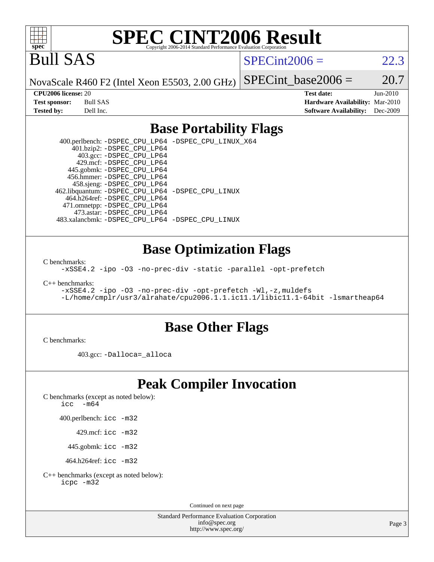

# **[SPEC CINT2006 Result](http://www.spec.org/auto/cpu2006/Docs/result-fields.html#SPECCINT2006Result)**

Bull SAS

 $SPECint2006 = 22.3$  $SPECint2006 = 22.3$ 

NovaScale R460 F2 (Intel Xeon E5503, 2.00 GHz)

SPECint base2006 =  $20.7$ 

**[CPU2006 license:](http://www.spec.org/auto/cpu2006/Docs/result-fields.html#CPU2006license)** 20 **[Test date:](http://www.spec.org/auto/cpu2006/Docs/result-fields.html#Testdate)** Jun-2010 **[Test sponsor:](http://www.spec.org/auto/cpu2006/Docs/result-fields.html#Testsponsor)** Bull SAS **[Hardware Availability:](http://www.spec.org/auto/cpu2006/Docs/result-fields.html#HardwareAvailability)** Mar-2010 **[Tested by:](http://www.spec.org/auto/cpu2006/Docs/result-fields.html#Testedby)** Dell Inc. **[Software Availability:](http://www.spec.org/auto/cpu2006/Docs/result-fields.html#SoftwareAvailability)** Dec-2009

### **[Base Portability Flags](http://www.spec.org/auto/cpu2006/Docs/result-fields.html#BasePortabilityFlags)**

 400.perlbench: [-DSPEC\\_CPU\\_LP64](http://www.spec.org/cpu2006/results/res2010q3/cpu2006-20100706-12252.flags.html#b400.perlbench_basePORTABILITY_DSPEC_CPU_LP64) [-DSPEC\\_CPU\\_LINUX\\_X64](http://www.spec.org/cpu2006/results/res2010q3/cpu2006-20100706-12252.flags.html#b400.perlbench_baseCPORTABILITY_DSPEC_CPU_LINUX_X64) 401.bzip2: [-DSPEC\\_CPU\\_LP64](http://www.spec.org/cpu2006/results/res2010q3/cpu2006-20100706-12252.flags.html#suite_basePORTABILITY401_bzip2_DSPEC_CPU_LP64) 403.gcc: [-DSPEC\\_CPU\\_LP64](http://www.spec.org/cpu2006/results/res2010q3/cpu2006-20100706-12252.flags.html#suite_basePORTABILITY403_gcc_DSPEC_CPU_LP64) 429.mcf: [-DSPEC\\_CPU\\_LP64](http://www.spec.org/cpu2006/results/res2010q3/cpu2006-20100706-12252.flags.html#suite_basePORTABILITY429_mcf_DSPEC_CPU_LP64) 445.gobmk: [-DSPEC\\_CPU\\_LP64](http://www.spec.org/cpu2006/results/res2010q3/cpu2006-20100706-12252.flags.html#suite_basePORTABILITY445_gobmk_DSPEC_CPU_LP64) 456.hmmer: [-DSPEC\\_CPU\\_LP64](http://www.spec.org/cpu2006/results/res2010q3/cpu2006-20100706-12252.flags.html#suite_basePORTABILITY456_hmmer_DSPEC_CPU_LP64) 458.sjeng: [-DSPEC\\_CPU\\_LP64](http://www.spec.org/cpu2006/results/res2010q3/cpu2006-20100706-12252.flags.html#suite_basePORTABILITY458_sjeng_DSPEC_CPU_LP64) 462.libquantum: [-DSPEC\\_CPU\\_LP64](http://www.spec.org/cpu2006/results/res2010q3/cpu2006-20100706-12252.flags.html#suite_basePORTABILITY462_libquantum_DSPEC_CPU_LP64) [-DSPEC\\_CPU\\_LINUX](http://www.spec.org/cpu2006/results/res2010q3/cpu2006-20100706-12252.flags.html#b462.libquantum_baseCPORTABILITY_DSPEC_CPU_LINUX) 464.h264ref: [-DSPEC\\_CPU\\_LP64](http://www.spec.org/cpu2006/results/res2010q3/cpu2006-20100706-12252.flags.html#suite_basePORTABILITY464_h264ref_DSPEC_CPU_LP64) 471.omnetpp: [-DSPEC\\_CPU\\_LP64](http://www.spec.org/cpu2006/results/res2010q3/cpu2006-20100706-12252.flags.html#suite_basePORTABILITY471_omnetpp_DSPEC_CPU_LP64) 473.astar: [-DSPEC\\_CPU\\_LP64](http://www.spec.org/cpu2006/results/res2010q3/cpu2006-20100706-12252.flags.html#suite_basePORTABILITY473_astar_DSPEC_CPU_LP64) 483.xalancbmk: [-DSPEC\\_CPU\\_LP64](http://www.spec.org/cpu2006/results/res2010q3/cpu2006-20100706-12252.flags.html#suite_basePORTABILITY483_xalancbmk_DSPEC_CPU_LP64) [-DSPEC\\_CPU\\_LINUX](http://www.spec.org/cpu2006/results/res2010q3/cpu2006-20100706-12252.flags.html#b483.xalancbmk_baseCXXPORTABILITY_DSPEC_CPU_LINUX)

### **[Base Optimization Flags](http://www.spec.org/auto/cpu2006/Docs/result-fields.html#BaseOptimizationFlags)**

[C benchmarks](http://www.spec.org/auto/cpu2006/Docs/result-fields.html#Cbenchmarks):

[-xSSE4.2](http://www.spec.org/cpu2006/results/res2010q3/cpu2006-20100706-12252.flags.html#user_CCbase_f-xSSE42_f91528193cf0b216347adb8b939d4107) [-ipo](http://www.spec.org/cpu2006/results/res2010q3/cpu2006-20100706-12252.flags.html#user_CCbase_f-ipo) [-O3](http://www.spec.org/cpu2006/results/res2010q3/cpu2006-20100706-12252.flags.html#user_CCbase_f-O3) [-no-prec-div](http://www.spec.org/cpu2006/results/res2010q3/cpu2006-20100706-12252.flags.html#user_CCbase_f-no-prec-div) [-static](http://www.spec.org/cpu2006/results/res2010q3/cpu2006-20100706-12252.flags.html#user_CCbase_f-static) [-parallel](http://www.spec.org/cpu2006/results/res2010q3/cpu2006-20100706-12252.flags.html#user_CCbase_f-parallel) [-opt-prefetch](http://www.spec.org/cpu2006/results/res2010q3/cpu2006-20100706-12252.flags.html#user_CCbase_f-opt-prefetch)

[C++ benchmarks:](http://www.spec.org/auto/cpu2006/Docs/result-fields.html#CXXbenchmarks)

[-xSSE4.2](http://www.spec.org/cpu2006/results/res2010q3/cpu2006-20100706-12252.flags.html#user_CXXbase_f-xSSE42_f91528193cf0b216347adb8b939d4107) [-ipo](http://www.spec.org/cpu2006/results/res2010q3/cpu2006-20100706-12252.flags.html#user_CXXbase_f-ipo) [-O3](http://www.spec.org/cpu2006/results/res2010q3/cpu2006-20100706-12252.flags.html#user_CXXbase_f-O3) [-no-prec-div](http://www.spec.org/cpu2006/results/res2010q3/cpu2006-20100706-12252.flags.html#user_CXXbase_f-no-prec-div) [-opt-prefetch](http://www.spec.org/cpu2006/results/res2010q3/cpu2006-20100706-12252.flags.html#user_CXXbase_f-opt-prefetch) [-Wl,-z,muldefs](http://www.spec.org/cpu2006/results/res2010q3/cpu2006-20100706-12252.flags.html#user_CXXbase_link_force_multiple1_74079c344b956b9658436fd1b6dd3a8a) [-L/home/cmplr/usr3/alrahate/cpu2006.1.1.ic11.1/libic11.1-64bit -lsmartheap64](http://www.spec.org/cpu2006/results/res2010q3/cpu2006-20100706-12252.flags.html#user_CXXbase_SmartHeap64_e2306cda84805d1ab360117a79ff779c)

### **[Base Other Flags](http://www.spec.org/auto/cpu2006/Docs/result-fields.html#BaseOtherFlags)**

[C benchmarks](http://www.spec.org/auto/cpu2006/Docs/result-fields.html#Cbenchmarks):

403.gcc: [-Dalloca=\\_alloca](http://www.spec.org/cpu2006/results/res2010q3/cpu2006-20100706-12252.flags.html#b403.gcc_baseEXTRA_CFLAGS_Dalloca_be3056838c12de2578596ca5467af7f3)

## **[Peak Compiler Invocation](http://www.spec.org/auto/cpu2006/Docs/result-fields.html#PeakCompilerInvocation)**

[C benchmarks \(except as noted below\)](http://www.spec.org/auto/cpu2006/Docs/result-fields.html#Cbenchmarksexceptasnotedbelow):

[icc -m64](http://www.spec.org/cpu2006/results/res2010q3/cpu2006-20100706-12252.flags.html#user_CCpeak_intel_icc_64bit_f346026e86af2a669e726fe758c88044)

400.perlbench: [icc -m32](http://www.spec.org/cpu2006/results/res2010q3/cpu2006-20100706-12252.flags.html#user_peakCCLD400_perlbench_intel_icc_32bit_a6a621f8d50482236b970c6ac5f55f93)

429.mcf: [icc -m32](http://www.spec.org/cpu2006/results/res2010q3/cpu2006-20100706-12252.flags.html#user_peakCCLD429_mcf_intel_icc_32bit_a6a621f8d50482236b970c6ac5f55f93)

445.gobmk: [icc -m32](http://www.spec.org/cpu2006/results/res2010q3/cpu2006-20100706-12252.flags.html#user_peakCCLD445_gobmk_intel_icc_32bit_a6a621f8d50482236b970c6ac5f55f93)

464.h264ref: [icc -m32](http://www.spec.org/cpu2006/results/res2010q3/cpu2006-20100706-12252.flags.html#user_peakCCLD464_h264ref_intel_icc_32bit_a6a621f8d50482236b970c6ac5f55f93)

[C++ benchmarks \(except as noted below\):](http://www.spec.org/auto/cpu2006/Docs/result-fields.html#CXXbenchmarksexceptasnotedbelow) [icpc -m32](http://www.spec.org/cpu2006/results/res2010q3/cpu2006-20100706-12252.flags.html#user_CXXpeak_intel_icpc_32bit_4e5a5ef1a53fd332b3c49e69c3330699)

Continued on next page

Standard Performance Evaluation Corporation [info@spec.org](mailto:info@spec.org) <http://www.spec.org/>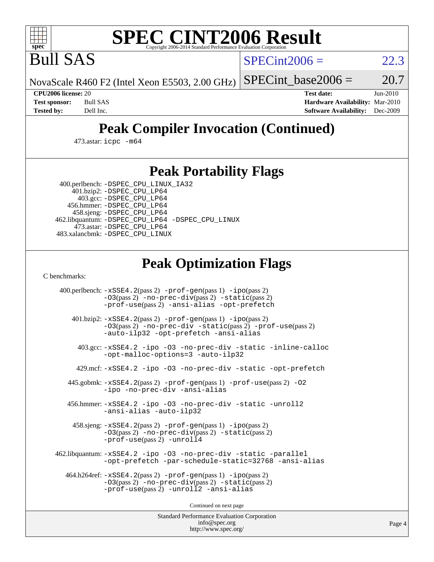

# **[SPEC CINT2006 Result](http://www.spec.org/auto/cpu2006/Docs/result-fields.html#SPECCINT2006Result)**

Bull SAS

 $SPECint2006 = 22.3$  $SPECint2006 = 22.3$ 

NovaScale R460 F2 (Intel Xeon E5503, 2.00 GHz)

SPECint base2006 =  $20.7$ 

**[CPU2006 license:](http://www.spec.org/auto/cpu2006/Docs/result-fields.html#CPU2006license)** 20 **[Test date:](http://www.spec.org/auto/cpu2006/Docs/result-fields.html#Testdate)** Jun-2010 **[Test sponsor:](http://www.spec.org/auto/cpu2006/Docs/result-fields.html#Testsponsor)** Bull SAS **[Hardware Availability:](http://www.spec.org/auto/cpu2006/Docs/result-fields.html#HardwareAvailability)** Mar-2010 **[Tested by:](http://www.spec.org/auto/cpu2006/Docs/result-fields.html#Testedby)** Dell Inc. **[Software Availability:](http://www.spec.org/auto/cpu2006/Docs/result-fields.html#SoftwareAvailability)** Dec-2009

# **[Peak Compiler Invocation \(Continued\)](http://www.spec.org/auto/cpu2006/Docs/result-fields.html#PeakCompilerInvocation)**

473.astar: [icpc -m64](http://www.spec.org/cpu2006/results/res2010q3/cpu2006-20100706-12252.flags.html#user_peakCXXLD473_astar_intel_icpc_64bit_fc66a5337ce925472a5c54ad6a0de310)

### **[Peak Portability Flags](http://www.spec.org/auto/cpu2006/Docs/result-fields.html#PeakPortabilityFlags)**

400.perlbench: [-DSPEC\\_CPU\\_LINUX\\_IA32](http://www.spec.org/cpu2006/results/res2010q3/cpu2006-20100706-12252.flags.html#b400.perlbench_peakCPORTABILITY_DSPEC_CPU_LINUX_IA32)

 401.bzip2: [-DSPEC\\_CPU\\_LP64](http://www.spec.org/cpu2006/results/res2010q3/cpu2006-20100706-12252.flags.html#suite_peakPORTABILITY401_bzip2_DSPEC_CPU_LP64) 403.gcc: [-DSPEC\\_CPU\\_LP64](http://www.spec.org/cpu2006/results/res2010q3/cpu2006-20100706-12252.flags.html#suite_peakPORTABILITY403_gcc_DSPEC_CPU_LP64) 456.hmmer: [-DSPEC\\_CPU\\_LP64](http://www.spec.org/cpu2006/results/res2010q3/cpu2006-20100706-12252.flags.html#suite_peakPORTABILITY456_hmmer_DSPEC_CPU_LP64) 458.sjeng: [-DSPEC\\_CPU\\_LP64](http://www.spec.org/cpu2006/results/res2010q3/cpu2006-20100706-12252.flags.html#suite_peakPORTABILITY458_sjeng_DSPEC_CPU_LP64) 462.libquantum: [-DSPEC\\_CPU\\_LP64](http://www.spec.org/cpu2006/results/res2010q3/cpu2006-20100706-12252.flags.html#suite_peakPORTABILITY462_libquantum_DSPEC_CPU_LP64) [-DSPEC\\_CPU\\_LINUX](http://www.spec.org/cpu2006/results/res2010q3/cpu2006-20100706-12252.flags.html#b462.libquantum_peakCPORTABILITY_DSPEC_CPU_LINUX) 473.astar: [-DSPEC\\_CPU\\_LP64](http://www.spec.org/cpu2006/results/res2010q3/cpu2006-20100706-12252.flags.html#suite_peakPORTABILITY473_astar_DSPEC_CPU_LP64) 483.xalancbmk: [-DSPEC\\_CPU\\_LINUX](http://www.spec.org/cpu2006/results/res2010q3/cpu2006-20100706-12252.flags.html#b483.xalancbmk_peakCXXPORTABILITY_DSPEC_CPU_LINUX)

## **[Peak Optimization Flags](http://www.spec.org/auto/cpu2006/Docs/result-fields.html#PeakOptimizationFlags)**

[C benchmarks](http://www.spec.org/auto/cpu2006/Docs/result-fields.html#Cbenchmarks):

 400.perlbench: [-xSSE4.2](http://www.spec.org/cpu2006/results/res2010q3/cpu2006-20100706-12252.flags.html#user_peakPASS2_CFLAGSPASS2_LDCFLAGS400_perlbench_f-xSSE42_f91528193cf0b216347adb8b939d4107)(pass 2) [-prof-gen](http://www.spec.org/cpu2006/results/res2010q3/cpu2006-20100706-12252.flags.html#user_peakPASS1_CFLAGSPASS1_LDCFLAGS400_perlbench_prof_gen_e43856698f6ca7b7e442dfd80e94a8fc)(pass 1) [-ipo](http://www.spec.org/cpu2006/results/res2010q3/cpu2006-20100706-12252.flags.html#user_peakPASS2_CFLAGSPASS2_LDCFLAGS400_perlbench_f-ipo)(pass 2) [-O3](http://www.spec.org/cpu2006/results/res2010q3/cpu2006-20100706-12252.flags.html#user_peakPASS2_CFLAGSPASS2_LDCFLAGS400_perlbench_f-O3)(pass 2) [-no-prec-div](http://www.spec.org/cpu2006/results/res2010q3/cpu2006-20100706-12252.flags.html#user_peakPASS2_CFLAGSPASS2_LDCFLAGS400_perlbench_f-no-prec-div)(pass 2) [-static](http://www.spec.org/cpu2006/results/res2010q3/cpu2006-20100706-12252.flags.html#user_peakPASS2_CFLAGSPASS2_LDCFLAGS400_perlbench_f-static)(pass 2) [-prof-use](http://www.spec.org/cpu2006/results/res2010q3/cpu2006-20100706-12252.flags.html#user_peakPASS2_CFLAGSPASS2_LDCFLAGS400_perlbench_prof_use_bccf7792157ff70d64e32fe3e1250b55)(pass 2) [-ansi-alias](http://www.spec.org/cpu2006/results/res2010q3/cpu2006-20100706-12252.flags.html#user_peakCOPTIMIZE400_perlbench_f-ansi-alias) [-opt-prefetch](http://www.spec.org/cpu2006/results/res2010q3/cpu2006-20100706-12252.flags.html#user_peakCOPTIMIZE400_perlbench_f-opt-prefetch) 401.bzip2: [-xSSE4.2](http://www.spec.org/cpu2006/results/res2010q3/cpu2006-20100706-12252.flags.html#user_peakPASS2_CFLAGSPASS2_LDCFLAGS401_bzip2_f-xSSE42_f91528193cf0b216347adb8b939d4107)(pass 2) [-prof-gen](http://www.spec.org/cpu2006/results/res2010q3/cpu2006-20100706-12252.flags.html#user_peakPASS1_CFLAGSPASS1_LDCFLAGS401_bzip2_prof_gen_e43856698f6ca7b7e442dfd80e94a8fc)(pass 1) [-ipo](http://www.spec.org/cpu2006/results/res2010q3/cpu2006-20100706-12252.flags.html#user_peakPASS2_CFLAGSPASS2_LDCFLAGS401_bzip2_f-ipo)(pass 2) [-O3](http://www.spec.org/cpu2006/results/res2010q3/cpu2006-20100706-12252.flags.html#user_peakPASS2_CFLAGSPASS2_LDCFLAGS401_bzip2_f-O3)(pass 2) [-no-prec-div](http://www.spec.org/cpu2006/results/res2010q3/cpu2006-20100706-12252.flags.html#user_peakCOPTIMIZEPASS2_CFLAGSPASS2_LDCFLAGS401_bzip2_f-no-prec-div) [-static](http://www.spec.org/cpu2006/results/res2010q3/cpu2006-20100706-12252.flags.html#user_peakPASS2_CFLAGSPASS2_LDCFLAGS401_bzip2_f-static)(pass 2) [-prof-use](http://www.spec.org/cpu2006/results/res2010q3/cpu2006-20100706-12252.flags.html#user_peakPASS2_CFLAGSPASS2_LDCFLAGS401_bzip2_prof_use_bccf7792157ff70d64e32fe3e1250b55)(pass 2) [-auto-ilp32](http://www.spec.org/cpu2006/results/res2010q3/cpu2006-20100706-12252.flags.html#user_peakCOPTIMIZE401_bzip2_f-auto-ilp32) [-opt-prefetch](http://www.spec.org/cpu2006/results/res2010q3/cpu2006-20100706-12252.flags.html#user_peakCOPTIMIZE401_bzip2_f-opt-prefetch) [-ansi-alias](http://www.spec.org/cpu2006/results/res2010q3/cpu2006-20100706-12252.flags.html#user_peakCOPTIMIZE401_bzip2_f-ansi-alias) 403.gcc: [-xSSE4.2](http://www.spec.org/cpu2006/results/res2010q3/cpu2006-20100706-12252.flags.html#user_peakCOPTIMIZE403_gcc_f-xSSE42_f91528193cf0b216347adb8b939d4107) [-ipo](http://www.spec.org/cpu2006/results/res2010q3/cpu2006-20100706-12252.flags.html#user_peakCOPTIMIZE403_gcc_f-ipo) [-O3](http://www.spec.org/cpu2006/results/res2010q3/cpu2006-20100706-12252.flags.html#user_peakCOPTIMIZE403_gcc_f-O3) [-no-prec-div](http://www.spec.org/cpu2006/results/res2010q3/cpu2006-20100706-12252.flags.html#user_peakCOPTIMIZE403_gcc_f-no-prec-div) [-static](http://www.spec.org/cpu2006/results/res2010q3/cpu2006-20100706-12252.flags.html#user_peakCOPTIMIZE403_gcc_f-static) [-inline-calloc](http://www.spec.org/cpu2006/results/res2010q3/cpu2006-20100706-12252.flags.html#user_peakCOPTIMIZE403_gcc_f-inline-calloc) [-opt-malloc-options=3](http://www.spec.org/cpu2006/results/res2010q3/cpu2006-20100706-12252.flags.html#user_peakCOPTIMIZE403_gcc_f-opt-malloc-options_13ab9b803cf986b4ee62f0a5998c2238) [-auto-ilp32](http://www.spec.org/cpu2006/results/res2010q3/cpu2006-20100706-12252.flags.html#user_peakCOPTIMIZE403_gcc_f-auto-ilp32) 429.mcf: [-xSSE4.2](http://www.spec.org/cpu2006/results/res2010q3/cpu2006-20100706-12252.flags.html#user_peakCOPTIMIZE429_mcf_f-xSSE42_f91528193cf0b216347adb8b939d4107) [-ipo](http://www.spec.org/cpu2006/results/res2010q3/cpu2006-20100706-12252.flags.html#user_peakCOPTIMIZE429_mcf_f-ipo) [-O3](http://www.spec.org/cpu2006/results/res2010q3/cpu2006-20100706-12252.flags.html#user_peakCOPTIMIZE429_mcf_f-O3) [-no-prec-div](http://www.spec.org/cpu2006/results/res2010q3/cpu2006-20100706-12252.flags.html#user_peakCOPTIMIZE429_mcf_f-no-prec-div) [-static](http://www.spec.org/cpu2006/results/res2010q3/cpu2006-20100706-12252.flags.html#user_peakCOPTIMIZE429_mcf_f-static) [-opt-prefetch](http://www.spec.org/cpu2006/results/res2010q3/cpu2006-20100706-12252.flags.html#user_peakCOPTIMIZE429_mcf_f-opt-prefetch) 445.gobmk: [-xSSE4.2](http://www.spec.org/cpu2006/results/res2010q3/cpu2006-20100706-12252.flags.html#user_peakPASS2_CFLAGSPASS2_LDCFLAGS445_gobmk_f-xSSE42_f91528193cf0b216347adb8b939d4107)(pass 2) [-prof-gen](http://www.spec.org/cpu2006/results/res2010q3/cpu2006-20100706-12252.flags.html#user_peakPASS1_CFLAGSPASS1_LDCFLAGS445_gobmk_prof_gen_e43856698f6ca7b7e442dfd80e94a8fc)(pass 1) [-prof-use](http://www.spec.org/cpu2006/results/res2010q3/cpu2006-20100706-12252.flags.html#user_peakPASS2_CFLAGSPASS2_LDCFLAGS445_gobmk_prof_use_bccf7792157ff70d64e32fe3e1250b55)(pass 2) [-O2](http://www.spec.org/cpu2006/results/res2010q3/cpu2006-20100706-12252.flags.html#user_peakCOPTIMIZE445_gobmk_f-O2) [-ipo](http://www.spec.org/cpu2006/results/res2010q3/cpu2006-20100706-12252.flags.html#user_peakCOPTIMIZE445_gobmk_f-ipo) [-no-prec-div](http://www.spec.org/cpu2006/results/res2010q3/cpu2006-20100706-12252.flags.html#user_peakCOPTIMIZE445_gobmk_f-no-prec-div) [-ansi-alias](http://www.spec.org/cpu2006/results/res2010q3/cpu2006-20100706-12252.flags.html#user_peakCOPTIMIZE445_gobmk_f-ansi-alias) 456.hmmer: [-xSSE4.2](http://www.spec.org/cpu2006/results/res2010q3/cpu2006-20100706-12252.flags.html#user_peakCOPTIMIZE456_hmmer_f-xSSE42_f91528193cf0b216347adb8b939d4107) [-ipo](http://www.spec.org/cpu2006/results/res2010q3/cpu2006-20100706-12252.flags.html#user_peakCOPTIMIZE456_hmmer_f-ipo) [-O3](http://www.spec.org/cpu2006/results/res2010q3/cpu2006-20100706-12252.flags.html#user_peakCOPTIMIZE456_hmmer_f-O3) [-no-prec-div](http://www.spec.org/cpu2006/results/res2010q3/cpu2006-20100706-12252.flags.html#user_peakCOPTIMIZE456_hmmer_f-no-prec-div) [-static](http://www.spec.org/cpu2006/results/res2010q3/cpu2006-20100706-12252.flags.html#user_peakCOPTIMIZE456_hmmer_f-static) [-unroll2](http://www.spec.org/cpu2006/results/res2010q3/cpu2006-20100706-12252.flags.html#user_peakCOPTIMIZE456_hmmer_f-unroll_784dae83bebfb236979b41d2422d7ec2) [-ansi-alias](http://www.spec.org/cpu2006/results/res2010q3/cpu2006-20100706-12252.flags.html#user_peakCOPTIMIZE456_hmmer_f-ansi-alias) [-auto-ilp32](http://www.spec.org/cpu2006/results/res2010q3/cpu2006-20100706-12252.flags.html#user_peakCOPTIMIZE456_hmmer_f-auto-ilp32) 458.sjeng: [-xSSE4.2](http://www.spec.org/cpu2006/results/res2010q3/cpu2006-20100706-12252.flags.html#user_peakPASS2_CFLAGSPASS2_LDCFLAGS458_sjeng_f-xSSE42_f91528193cf0b216347adb8b939d4107)(pass 2) [-prof-gen](http://www.spec.org/cpu2006/results/res2010q3/cpu2006-20100706-12252.flags.html#user_peakPASS1_CFLAGSPASS1_LDCFLAGS458_sjeng_prof_gen_e43856698f6ca7b7e442dfd80e94a8fc)(pass 1) [-ipo](http://www.spec.org/cpu2006/results/res2010q3/cpu2006-20100706-12252.flags.html#user_peakPASS2_CFLAGSPASS2_LDCFLAGS458_sjeng_f-ipo)(pass 2) [-O3](http://www.spec.org/cpu2006/results/res2010q3/cpu2006-20100706-12252.flags.html#user_peakPASS2_CFLAGSPASS2_LDCFLAGS458_sjeng_f-O3)(pass 2) [-no-prec-div](http://www.spec.org/cpu2006/results/res2010q3/cpu2006-20100706-12252.flags.html#user_peakPASS2_CFLAGSPASS2_LDCFLAGS458_sjeng_f-no-prec-div)(pass 2) [-static](http://www.spec.org/cpu2006/results/res2010q3/cpu2006-20100706-12252.flags.html#user_peakPASS2_CFLAGSPASS2_LDCFLAGS458_sjeng_f-static)(pass 2) [-prof-use](http://www.spec.org/cpu2006/results/res2010q3/cpu2006-20100706-12252.flags.html#user_peakPASS2_CFLAGSPASS2_LDCFLAGS458_sjeng_prof_use_bccf7792157ff70d64e32fe3e1250b55)(pass 2) [-unroll4](http://www.spec.org/cpu2006/results/res2010q3/cpu2006-20100706-12252.flags.html#user_peakCOPTIMIZE458_sjeng_f-unroll_4e5e4ed65b7fd20bdcd365bec371b81f) 462.libquantum: [-xSSE4.2](http://www.spec.org/cpu2006/results/res2010q3/cpu2006-20100706-12252.flags.html#user_peakCOPTIMIZE462_libquantum_f-xSSE42_f91528193cf0b216347adb8b939d4107) [-ipo](http://www.spec.org/cpu2006/results/res2010q3/cpu2006-20100706-12252.flags.html#user_peakCOPTIMIZE462_libquantum_f-ipo) [-O3](http://www.spec.org/cpu2006/results/res2010q3/cpu2006-20100706-12252.flags.html#user_peakCOPTIMIZE462_libquantum_f-O3) [-no-prec-div](http://www.spec.org/cpu2006/results/res2010q3/cpu2006-20100706-12252.flags.html#user_peakCOPTIMIZE462_libquantum_f-no-prec-div) [-static](http://www.spec.org/cpu2006/results/res2010q3/cpu2006-20100706-12252.flags.html#user_peakCOPTIMIZE462_libquantum_f-static) [-parallel](http://www.spec.org/cpu2006/results/res2010q3/cpu2006-20100706-12252.flags.html#user_peakCOPTIMIZE462_libquantum_f-parallel) [-opt-prefetch](http://www.spec.org/cpu2006/results/res2010q3/cpu2006-20100706-12252.flags.html#user_peakCOPTIMIZE462_libquantum_f-opt-prefetch) [-par-schedule-static=32768](http://www.spec.org/cpu2006/results/res2010q3/cpu2006-20100706-12252.flags.html#user_peakCOPTIMIZE462_libquantum_f-par-schedule_9386bcd99ba64e99ee01d1aafefddd14) [-ansi-alias](http://www.spec.org/cpu2006/results/res2010q3/cpu2006-20100706-12252.flags.html#user_peakCOPTIMIZE462_libquantum_f-ansi-alias) 464.h264ref: [-xSSE4.2](http://www.spec.org/cpu2006/results/res2010q3/cpu2006-20100706-12252.flags.html#user_peakPASS2_CFLAGSPASS2_LDCFLAGS464_h264ref_f-xSSE42_f91528193cf0b216347adb8b939d4107)(pass 2) [-prof-gen](http://www.spec.org/cpu2006/results/res2010q3/cpu2006-20100706-12252.flags.html#user_peakPASS1_CFLAGSPASS1_LDCFLAGS464_h264ref_prof_gen_e43856698f6ca7b7e442dfd80e94a8fc)(pass 1) [-ipo](http://www.spec.org/cpu2006/results/res2010q3/cpu2006-20100706-12252.flags.html#user_peakPASS2_CFLAGSPASS2_LDCFLAGS464_h264ref_f-ipo)(pass 2) [-O3](http://www.spec.org/cpu2006/results/res2010q3/cpu2006-20100706-12252.flags.html#user_peakPASS2_CFLAGSPASS2_LDCFLAGS464_h264ref_f-O3)(pass 2) [-no-prec-div](http://www.spec.org/cpu2006/results/res2010q3/cpu2006-20100706-12252.flags.html#user_peakPASS2_CFLAGSPASS2_LDCFLAGS464_h264ref_f-no-prec-div)(pass 2) [-static](http://www.spec.org/cpu2006/results/res2010q3/cpu2006-20100706-12252.flags.html#user_peakPASS2_CFLAGSPASS2_LDCFLAGS464_h264ref_f-static)(pass 2) [-prof-use](http://www.spec.org/cpu2006/results/res2010q3/cpu2006-20100706-12252.flags.html#user_peakPASS2_CFLAGSPASS2_LDCFLAGS464_h264ref_prof_use_bccf7792157ff70d64e32fe3e1250b55)(pass 2) [-unroll2](http://www.spec.org/cpu2006/results/res2010q3/cpu2006-20100706-12252.flags.html#user_peakCOPTIMIZE464_h264ref_f-unroll_784dae83bebfb236979b41d2422d7ec2) [-ansi-alias](http://www.spec.org/cpu2006/results/res2010q3/cpu2006-20100706-12252.flags.html#user_peakCOPTIMIZE464_h264ref_f-ansi-alias)

Continued on next page

Standard Performance Evaluation Corporation [info@spec.org](mailto:info@spec.org) <http://www.spec.org/>